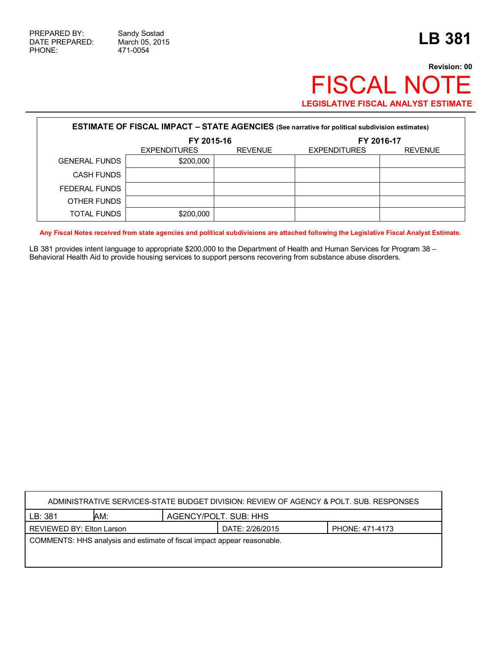$\mathsf{r}$ 

## **Revision: 00** FISCAL NOTE **LEGISLATIVE FISCAL ANALYST ESTIMATE**

| <b>ESTIMATE OF FISCAL IMPACT - STATE AGENCIES</b> (See narrative for political subdivision estimates) |                     |                |                     |                |  |  |
|-------------------------------------------------------------------------------------------------------|---------------------|----------------|---------------------|----------------|--|--|
|                                                                                                       | FY 2015-16          |                | FY 2016-17          |                |  |  |
|                                                                                                       | <b>EXPENDITURES</b> | <b>REVENUE</b> | <b>EXPENDITURES</b> | <b>REVENUE</b> |  |  |
| <b>GENERAL FUNDS</b>                                                                                  | \$200,000           |                |                     |                |  |  |
| <b>CASH FUNDS</b>                                                                                     |                     |                |                     |                |  |  |
| FEDERAL FUNDS                                                                                         |                     |                |                     |                |  |  |
| OTHER FUNDS                                                                                           |                     |                |                     |                |  |  |
| TOTAL FUNDS                                                                                           | \$200,000           |                |                     |                |  |  |

**Any Fiscal Notes received from state agencies and political subdivisions are attached following the Legislative Fiscal Analyst Estimate.**

LB 381 provides intent language to appropriate \$200,000 to the Department of Health and Human Services for Program 38 – Behavioral Health Aid to provide housing services to support persons recovering from substance abuse disorders.

| ADMINISTRATIVE SERVICES-STATE BUDGET DIVISION: REVIEW OF AGENCY & POLT. SUB. RESPONSES |     |                       |                 |                 |  |
|----------------------------------------------------------------------------------------|-----|-----------------------|-----------------|-----------------|--|
| LB: 381                                                                                | AM: | AGENCY/POLT. SUB: HHS |                 |                 |  |
| REVIEWED BY: Elton Larson                                                              |     |                       | DATE: 2/26/2015 | PHONE: 471-4173 |  |
| COMMENTS: HHS analysis and estimate of fiscal impact appear reasonable.                |     |                       |                 |                 |  |
|                                                                                        |     |                       |                 |                 |  |
|                                                                                        |     |                       |                 |                 |  |